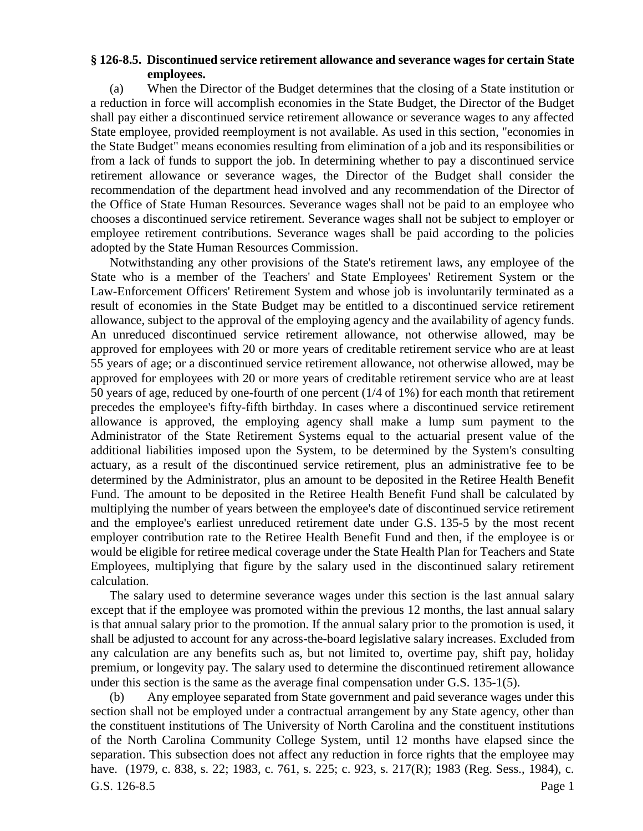## **§ 126-8.5. Discontinued service retirement allowance and severance wages for certain State employees.**

(a) When the Director of the Budget determines that the closing of a State institution or a reduction in force will accomplish economies in the State Budget, the Director of the Budget shall pay either a discontinued service retirement allowance or severance wages to any affected State employee, provided reemployment is not available. As used in this section, "economies in the State Budget" means economies resulting from elimination of a job and its responsibilities or from a lack of funds to support the job. In determining whether to pay a discontinued service retirement allowance or severance wages, the Director of the Budget shall consider the recommendation of the department head involved and any recommendation of the Director of the Office of State Human Resources. Severance wages shall not be paid to an employee who chooses a discontinued service retirement. Severance wages shall not be subject to employer or employee retirement contributions. Severance wages shall be paid according to the policies adopted by the State Human Resources Commission.

Notwithstanding any other provisions of the State's retirement laws, any employee of the State who is a member of the Teachers' and State Employees' Retirement System or the Law-Enforcement Officers' Retirement System and whose job is involuntarily terminated as a result of economies in the State Budget may be entitled to a discontinued service retirement allowance, subject to the approval of the employing agency and the availability of agency funds. An unreduced discontinued service retirement allowance, not otherwise allowed, may be approved for employees with 20 or more years of creditable retirement service who are at least 55 years of age; or a discontinued service retirement allowance, not otherwise allowed, may be approved for employees with 20 or more years of creditable retirement service who are at least 50 years of age, reduced by one-fourth of one percent (1/4 of 1%) for each month that retirement precedes the employee's fifty-fifth birthday. In cases where a discontinued service retirement allowance is approved, the employing agency shall make a lump sum payment to the Administrator of the State Retirement Systems equal to the actuarial present value of the additional liabilities imposed upon the System, to be determined by the System's consulting actuary, as a result of the discontinued service retirement, plus an administrative fee to be determined by the Administrator, plus an amount to be deposited in the Retiree Health Benefit Fund. The amount to be deposited in the Retiree Health Benefit Fund shall be calculated by multiplying the number of years between the employee's date of discontinued service retirement and the employee's earliest unreduced retirement date under G.S. 135-5 by the most recent employer contribution rate to the Retiree Health Benefit Fund and then, if the employee is or would be eligible for retiree medical coverage under the State Health Plan for Teachers and State Employees, multiplying that figure by the salary used in the discontinued salary retirement calculation.

The salary used to determine severance wages under this section is the last annual salary except that if the employee was promoted within the previous 12 months, the last annual salary is that annual salary prior to the promotion. If the annual salary prior to the promotion is used, it shall be adjusted to account for any across-the-board legislative salary increases. Excluded from any calculation are any benefits such as, but not limited to, overtime pay, shift pay, holiday premium, or longevity pay. The salary used to determine the discontinued retirement allowance under this section is the same as the average final compensation under G.S. 135-1(5).

G.S. 126-8.5 Page 1 (b) Any employee separated from State government and paid severance wages under this section shall not be employed under a contractual arrangement by any State agency, other than the constituent institutions of The University of North Carolina and the constituent institutions of the North Carolina Community College System, until 12 months have elapsed since the separation. This subsection does not affect any reduction in force rights that the employee may have. (1979, c. 838, s. 22; 1983, c. 761, s. 225; c. 923, s. 217(R); 1983 (Reg. Sess., 1984), c.